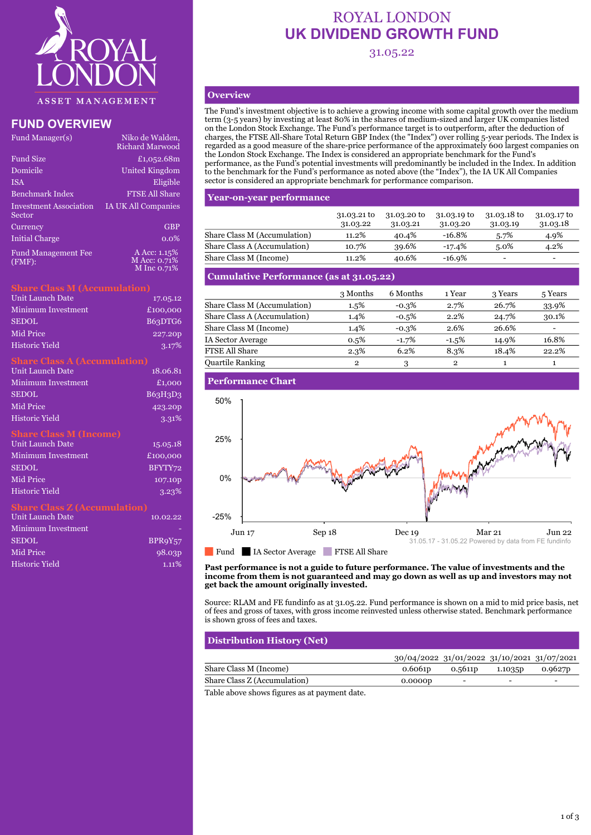

# **FUND OVERVIEW**

| Fund Manager(s)                      | Niko de Walden,<br><b>Richard Marwood</b> |
|--------------------------------------|-------------------------------------------|
| <b>Fund Size</b>                     | £1,052.68m                                |
| Domicile                             | United Kingdom                            |
| <b>ISA</b>                           | Eligible                                  |
| <b>Benchmark Index</b>               | <b>FTSE All Share</b>                     |
| Investment Association<br>Sector     | <b>IA UK All Companies</b>                |
| Currency                             | <b>GBP</b>                                |
| <b>Initial Charge</b>                | $0.0\%$                                   |
| <b>Fund Management Fee</b><br>(FMF): | A Acc: 1.15%<br>M Acc: 0.71%              |

### **Share Class M (Accumulation)**

| <b>Unit Launch Date</b> | 17.05.12            |
|-------------------------|---------------------|
| Minimum Investment      | £100,000            |
| <b>SEDOL</b>            | B63DTG6             |
| Mid Price               | 227.20 <sub>p</sub> |
| Historic Yield          | 3.17%               |

M Inc 0.71%

# **Share Class A (Accumulation)**

| <b>Unit Launch Date</b>             | 18.06.81 |
|-------------------------------------|----------|
| Minimum Investment                  | £1,000   |
| <b>SEDOL</b>                        | B63H3D3  |
| <b>Mid Price</b>                    | 423.20p  |
| <b>Historic Yield</b>               | 3.31%    |
| <b>Share Class M (Income)</b>       |          |
| <b>Unit Launch Date</b>             | 15.05.18 |
| Minimum Investment                  | £100,000 |
| <b>SEDOL</b>                        | BFYTY72  |
| <b>Mid Price</b>                    | 107.10p  |
| Historic Yield                      | 3.23%    |
| <b>Share Class Z (Accumulation)</b> |          |
| <b>Hojt Lounch Dota</b>             | 10.09.99 |

| Unit Launch Date          | 10.02.22           |
|---------------------------|--------------------|
| <b>Minimum Investment</b> |                    |
| <b>SEDOL</b>              | BPR9Y57            |
| Mid Price                 | 98.03 <sub>p</sub> |
| <b>Historic Yield</b>     | $1.11\%$           |

# ROYAL LONDON **UK DIVIDEND GROWTH FUND**

31.05.22

# **Overview**

The Fund's investment objective is to achieve a growing income with some capital growth over the medium term (3-5 years) by investing at least 80% in the shares of medium-sized and larger UK companies listed on the London Stock Exchange. The Fund's performance target is to outperform, after the deduction of charges, the FTSE All-Share Total Return GBP Index (the "Index") over rolling 5-year periods. The Index is regarded as a good measure of the share-price performance of the approximately 600 largest companies on the London Stock Exchange. The Index is considered an appropriate benchmark for the Fund's performance, as the Fund's potential investments will predominantly be included in the Index. In addition to the benchmark for the Fund's performance as noted above (the "Index"), the IA UK All Companies sector is considered an appropriate benchmark for performance comparison.

# **Year-on-year performance**

|                              | 31.03.21 to<br>31.03.22 | 31.03.20 to<br>31.03.21 | $31.03.19$ to<br>31.03.20 | 31.03.18 to<br>31.03.19  | 31.03.17 to<br>31.03.18  |
|------------------------------|-------------------------|-------------------------|---------------------------|--------------------------|--------------------------|
| Share Class M (Accumulation) | 11.2%                   | 40.4%                   | $-16.8%$                  | 5.7%                     | 4.9%                     |
| Share Class A (Accumulation) | 10.7%                   | 39.6%                   | $-17.4%$                  | $5.0\%$                  | 4.2%                     |
| Share Class M (Income)       | 11.2%                   | 40.6%                   | $-16.9%$                  | $\overline{\phantom{0}}$ | $\overline{\phantom{0}}$ |

# **Cumulative Performance (as at 31.05.22)**

| 3 Months | 6 Months | 1 Year       | 3 Years | 5 Years |
|----------|----------|--------------|---------|---------|
| 1.5%     | $-0.3\%$ | 2.7%         | 26.7%   | 33.9%   |
| $1.4\%$  | $-0.5%$  | 2.2%         | 24.7%   | 30.1%   |
| 1.4%     | $-0.3\%$ | 2.6%         | 26.6%   |         |
| 0.5%     | $-1.7%$  | $-1.5%$      | 14.9%   | 16.8%   |
| 2.3%     | 6.2%     | 8.3%         | 18.4%   | 22.2%   |
| 2        | 3        | $\mathbf{2}$ |         |         |
|          |          |              |         |         |

# **Performance Chart**



**Past performance is not a guide to future performance. The value of investments and the income from them is not guaranteed and may go down as well as up and investors may not get back the amount originally invested.**

Source: RLAM and FE fundinfo as at 31.05.22. Fund performance is shown on a mid to mid price basis, net of fees and gross of taxes, with gross income reinvested unless otherwise stated. Benchmark performance is shown gross of fees and taxes.

# **Distribution History (Net)**

|                              | 30/04/2022 31/01/2022 31/10/2021 31/07/2021 |                          |                          |                     |
|------------------------------|---------------------------------------------|--------------------------|--------------------------|---------------------|
| Share Class M (Income)       | 0.6061 <sub>p</sub>                         | 0.5611 <sub>p</sub>      | 1.1035 <sub>D</sub>      | 0.9627 <sub>p</sub> |
| Share Class Z (Accumulation) | 0.0000p                                     | $\overline{\phantom{0}}$ | $\overline{\phantom{0}}$ | -                   |

Table above shows figures as at payment date.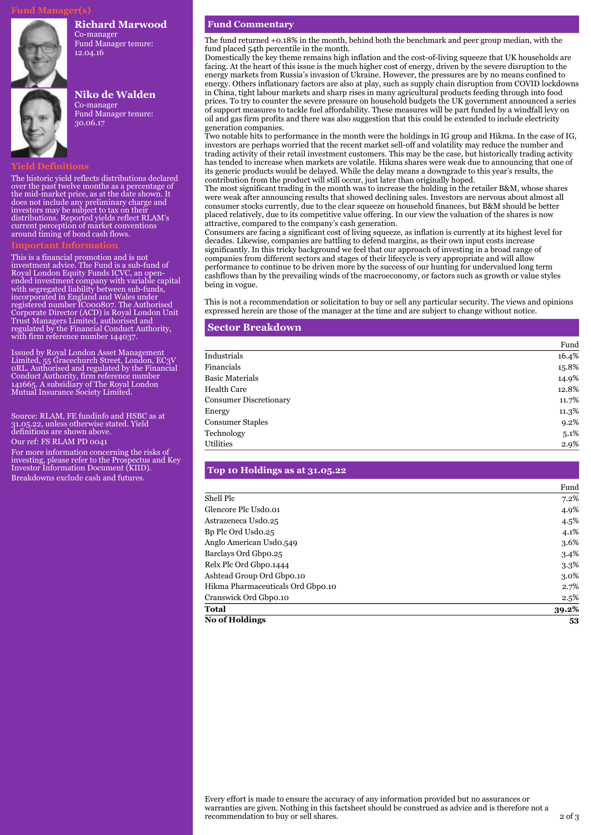#### **Richard Marwood**

Co-manager Fund Manager tenure: 12.04.16



### **Niko de Walden**

Co-manager Fund Manager tenure: 30.06.17

#### **Yield Definitions**

The historic yield reflects distributions declared over the past twelve months as a percentage of the mid-market price, as at the date shown. It does not include any preliminary charge and investors may be subject to tax on their distributions. Reported yields reflect RLAM's current perception of market conventions around timing of bond cash flows.

This is a financial promotion and is not investment advice. The Fund is a sub-fund of Royal London Equity Funds ICVC, an openended investment company with variable capital with segregated liability between sub-funds, incorporated in England and Wales under registered number IC000807. The Authorised Corporate Director (ACD) is Royal London Unit Trust Managers Limited, authorised and regulated by the Financial Conduct Authority, with firm reference number 144037.

Issued by Royal London Asset Management Limited, 55 Gracechurch Street, London, EC3V 0RL. Authorised and regulated by the Financial Conduct Authority, firm reference number 141665. A subsidiary of The Royal London Mutual Insurance Society Limited.

Source: RLAM, FE fundinfo and HSBC as at 31.05.22, unless otherwise stated. Yield definitions are shown above.

Our ref: FS RLAM PD 0041

For more information concerning the risks of investing, please refer to the Prospectus and Key Investor Information Document (KIID). Breakdowns exclude cash and futures.

#### **Fund Commentary**

The fund returned +0.18% in the month, behind both the benchmark and peer group median, with the fund placed 54th percentile in the month.

Domestically the key theme remains high inflation and the cost-of-living squeeze that UK households are facing. At the heart of this issue is the much higher cost of energy, driven by the severe disruption to the energy markets from Russia's invasion of Ukraine. However, the pressures are by no means confined to energy. Others inflationary factors are also at play, such as supply chain disruption from COVID lockdowns in China, tight labour markets and sharp rises in many agricultural products feeding through into food prices. To try to counter the severe pressure on household budgets the UK government announced a series of support measures to tackle fuel affordability. These measures will be part funded by a windfall levy on oil and gas firm profits and there was also suggestion that this could be extended to include electricity generation companies.

Two notable hits to performance in the month were the holdings in IG group and Hikma. In the case of IG, investors are perhaps worried that the recent market sell-off and volatility may reduce the number and trading activity of their retail investment customers. This may be the case, but historically trading activity has tended to increase when markets are volatile. Hikma shares were weak due to announcing that one of its generic products would be delayed. While the delay means a downgrade to this year's results, the contribution from the product will still occur, just later than originally hoped.

The most significant trading in the month was to increase the holding in the retailer B&M, whose shares were weak after announcing results that showed declining sales. Investors are nervous about almost all consumer stocks currently, due to the clear squeeze on household finances, but B&M should be better placed relatively, due to its competitive value offering. In our view the valuation of the shares is now attractive, compared to the company's cash generation.

Consumers are facing a significant cost of living squeeze, as inflation is currently at its highest level for decades. Likewise, companies are battling to defend margins, as their own input costs increase significantly. In this tricky background we feel that our approach of investing in a broad range of companies from different sectors and stages of their lifecycle is very appropriate and will allow performance to continue to be driven more by the success of our hunting for undervalued long term cashflows than by the prevailing winds of the macroeconomy, or factors such as growth or value styles being in vogue.

This is not a recommendation or solicitation to buy or sell any particular security. The views and opinions expressed herein are those of the manager at the time and are subject to change without notice.

#### **Sector Breakdown**

|                               | Fund  |
|-------------------------------|-------|
| Industrials                   | 16.4% |
| Financials                    | 15.8% |
| <b>Basic Materials</b>        | 14.9% |
| Health Care                   | 12.8% |
| <b>Consumer Discretionary</b> | 11.7% |
| Energy                        | 11.3% |
| <b>Consumer Staples</b>       | 9.2%  |
| Technology                    | 5.1%  |
| Utilities                     | 2.9%  |

#### **Top 10 Holdings as at 31.05.22**

|                                   | Fund    |
|-----------------------------------|---------|
| Shell Plc                         | 7.2%    |
| Glencore Plc Usdo.01              | 4.9%    |
| Astrazeneca Usdo.25               | 4.5%    |
| Bp Plc Ord Usdo.25                | 4.1%    |
| Anglo American Usdo.549           | 3.6%    |
| Barclays Ord Gbpo.25              | $3.4\%$ |
| Relx Plc Ord Gbpo.1444            | 3.3%    |
| Ashtead Group Ord Gbpo.10         | 3.0%    |
| Hikma Pharmaceuticals Ord Gbpo.10 | 2.7%    |
| Cranswick Ord Gbpo.10             | 2.5%    |
| <b>Total</b>                      | 39.2%   |
| <b>No of Holdings</b>             | 53      |

Every effort is made to ensure the accuracy of any information provided but no assurances or warranties are given. Nothing in this factsheet should be construed as advice and is therefore not a recommendation to buy or sell shares. 2 of 3